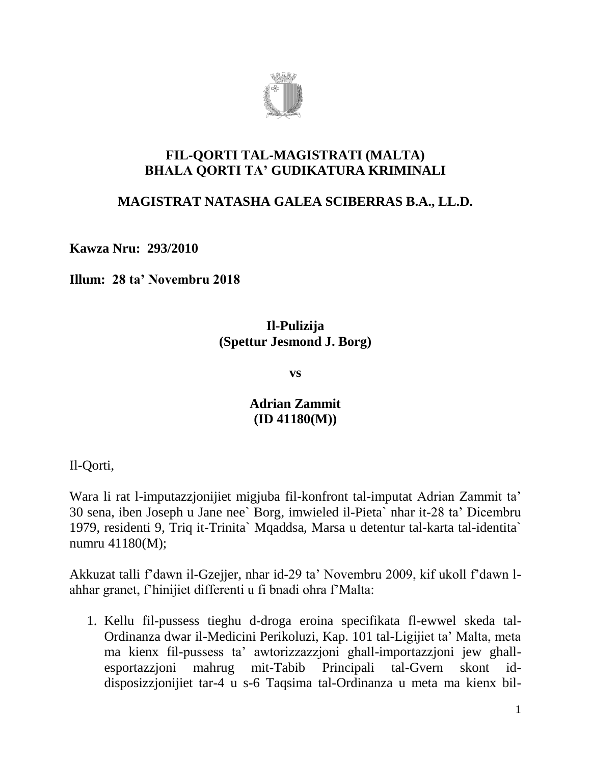

### **FIL-QORTI TAL-MAGISTRATI (MALTA) BHALA QORTI TA' GUDIKATURA KRIMINALI**

### **MAGISTRAT NATASHA GALEA SCIBERRAS B.A., LL.D.**

**Kawza Nru: 293/2010**

**Illum: 28 ta' Novembru 2018**

### **Il-Pulizija (Spettur Jesmond J. Borg)**

**vs**

# **Adrian Zammit (ID 41180(M))**

Il-Qorti,

Wara li rat l-imputazzjonijiet migjuba fil-konfront tal-imputat Adrian Zammit ta' 30 sena, iben Joseph u Jane nee` Borg, imwieled il-Pieta` nhar it-28 ta' Dicembru 1979, residenti 9, Triq it-Trinita` Mqaddsa, Marsa u detentur tal-karta tal-identita` numru 41180(M);

Akkuzat talli f'dawn il-Gzejjer, nhar id-29 ta' Novembru 2009, kif ukoll f'dawn lahhar granet, f'hinijiet differenti u fi bnadi ohra f'Malta:

1. Kellu fil-pussess tieghu d-droga eroina specifikata fl-ewwel skeda tal-Ordinanza dwar il-Medicini Perikoluzi, Kap. 101 tal-Ligijiet ta' Malta, meta ma kienx fil-pussess ta' awtorizzazzjoni ghall-importazzjoni jew ghallesportazzjoni mahrug mit-Tabib Principali tal-Gvern skont iddisposizzjonijiet tar-4 u s-6 Taqsima tal-Ordinanza u meta ma kienx bil-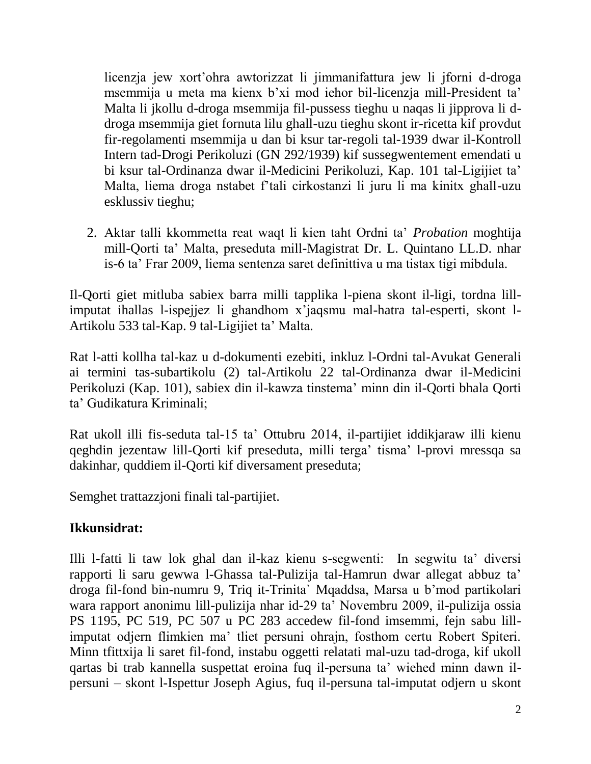licenzja jew xort'ohra awtorizzat li jimmanifattura jew li jforni d-droga msemmija u meta ma kienx b'xi mod iehor bil-licenzja mill-President ta' Malta li jkollu d-droga msemmija fil-pussess tieghu u naqas li jipprova li ddroga msemmija giet fornuta lilu ghall-uzu tieghu skont ir-ricetta kif provdut fir-regolamenti msemmija u dan bi ksur tar-regoli tal-1939 dwar il-Kontroll Intern tad-Drogi Perikoluzi (GN 292/1939) kif sussegwentement emendati u bi ksur tal-Ordinanza dwar il-Medicini Perikoluzi, Kap. 101 tal-Ligijiet ta' Malta, liema droga nstabet f'tali cirkostanzi li juru li ma kinitx ghall-uzu esklussiv tieghu;

2. Aktar talli kkommetta reat waqt li kien taht Ordni ta' *Probation* moghtija mill-Qorti ta' Malta, preseduta mill-Magistrat Dr. L. Quintano LL.D. nhar is-6 ta' Frar 2009, liema sentenza saret definittiva u ma tistax tigi mibdula.

Il-Qorti giet mitluba sabiex barra milli tapplika l-piena skont il-ligi, tordna lillimputat ihallas l-ispejjez li ghandhom x'jaqsmu mal-hatra tal-esperti, skont l-Artikolu 533 tal-Kap. 9 tal-Ligijiet ta' Malta.

Rat l-atti kollha tal-kaz u d-dokumenti ezebiti, inkluz l-Ordni tal-Avukat Generali ai termini tas-subartikolu (2) tal-Artikolu 22 tal-Ordinanza dwar il-Medicini Perikoluzi (Kap. 101), sabiex din il-kawza tinstema' minn din il-Qorti bhala Qorti ta' Gudikatura Kriminali;

Rat ukoll illi fis-seduta tal-15 ta' Ottubru 2014, il-partijiet iddikjaraw illi kienu qeghdin jezentaw lill-Qorti kif preseduta, milli terga' tisma' l-provi mressqa sa dakinhar, quddiem il-Qorti kif diversament preseduta;

Semghet trattazzjoni finali tal-partijiet.

## **Ikkunsidrat:**

Illi l-fatti li taw lok ghal dan il-kaz kienu s-segwenti: In segwitu ta' diversi rapporti li saru gewwa l-Ghassa tal-Pulizija tal-Hamrun dwar allegat abbuz ta' droga fil-fond bin-numru 9, Triq it-Trinita` Mqaddsa, Marsa u b'mod partikolari wara rapport anonimu lill-pulizija nhar id-29 ta' Novembru 2009, il-pulizija ossia PS 1195, PC 519, PC 507 u PC 283 accedew fil-fond imsemmi, fejn sabu lillimputat odjern flimkien ma' tliet persuni ohrajn, fosthom certu Robert Spiteri. Minn tfittxija li saret fil-fond, instabu oggetti relatati mal-uzu tad-droga, kif ukoll qartas bi trab kannella suspettat eroina fuq il-persuna ta' wiehed minn dawn ilpersuni – skont l-Ispettur Joseph Agius, fuq il-persuna tal-imputat odjern u skont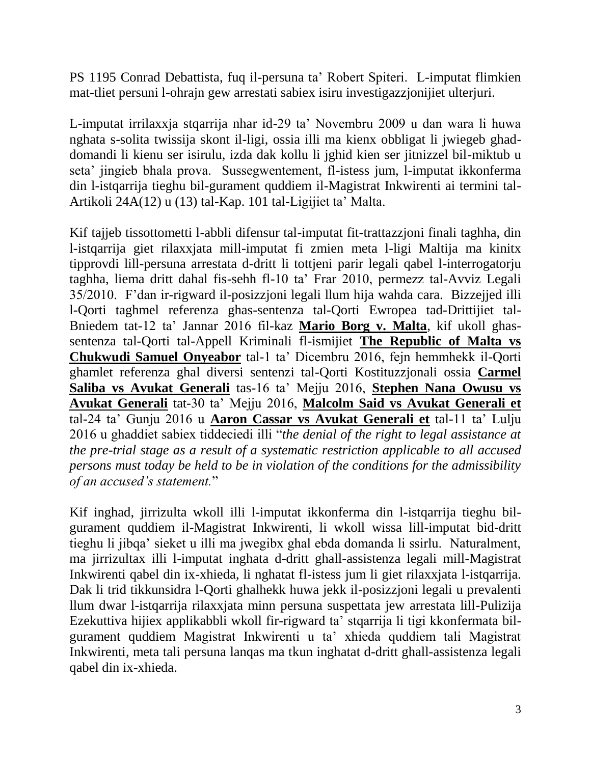PS 1195 Conrad Debattista, fuq il-persuna ta' Robert Spiteri. L-imputat flimkien mat-tliet persuni l-ohrajn gew arrestati sabiex isiru investigazzjonijiet ulterjuri.

L-imputat irrilaxxja stqarrija nhar id-29 ta' Novembru 2009 u dan wara li huwa nghata s-solita twissija skont il-ligi, ossia illi ma kienx obbligat li jwiegeb ghaddomandi li kienu ser isirulu, izda dak kollu li jghid kien ser jitnizzel bil-miktub u seta' jingieb bhala prova. Sussegwentement, fl-istess jum, l-imputat ikkonferma din l-istqarrija tieghu bil-gurament quddiem il-Magistrat Inkwirenti ai termini tal-Artikoli 24A(12) u (13) tal-Kap. 101 tal-Ligijiet ta' Malta.

Kif tajjeb tissottometti l-abbli difensur tal-imputat fit-trattazzjoni finali taghha, din l-istqarrija giet rilaxxjata mill-imputat fi zmien meta l-ligi Maltija ma kinitx tipprovdi lill-persuna arrestata d-dritt li tottjeni parir legali qabel l-interrogatorju taghha, liema dritt dahal fis-sehh fl-10 ta' Frar 2010, permezz tal-Avviz Legali 35/2010. F'dan ir-rigward il-posizzjoni legali llum hija wahda cara. Bizzejjed illi l-Qorti taghmel referenza ghas-sentenza tal-Qorti Ewropea tad-Drittijiet tal-Bniedem tat-12 ta' Jannar 2016 fil-kaz **Mario Borg v. Malta**, kif ukoll ghassentenza tal-Qorti tal-Appell Kriminali fl-ismijiet **The Republic of Malta vs Chukwudi Samuel Onyeabor** tal-1 ta' Dicembru 2016, fejn hemmhekk il-Qorti ghamlet referenza ghal diversi sentenzi tal-Qorti Kostituzzjonali ossia **Carmel Saliba vs Avukat Generali** tas-16 ta' Mejju 2016, **Stephen Nana Owusu vs Avukat Generali** tat-30 ta' Mejju 2016, **Malcolm Said vs Avukat Generali et** tal-24 ta' Gunju 2016 u **Aaron Cassar vs Avukat Generali et** tal-11 ta' Lulju 2016 u ghaddiet sabiex tiddeciedi illi "*the denial of the right to legal assistance at the pre-trial stage as a result of a systematic restriction applicable to all accused persons must today be held to be in violation of the conditions for the admissibility of an accused's statement.*"

Kif inghad, jirrizulta wkoll illi l-imputat ikkonferma din l-istqarrija tieghu bilgurament quddiem il-Magistrat Inkwirenti, li wkoll wissa lill-imputat bid-dritt tieghu li jibqa' sieket u illi ma jwegibx ghal ebda domanda li ssirlu. Naturalment, ma jirrizultax illi l-imputat inghata d-dritt ghall-assistenza legali mill-Magistrat Inkwirenti qabel din ix-xhieda, li nghatat fl-istess jum li giet rilaxxjata l-istqarrija. Dak li trid tikkunsidra l-Qorti ghalhekk huwa jekk il-posizzjoni legali u prevalenti llum dwar l-istqarrija rilaxxjata minn persuna suspettata jew arrestata lill-Pulizija Ezekuttiva hijiex applikabbli wkoll fir-rigward ta' stqarrija li tigi kkonfermata bilgurament quddiem Magistrat Inkwirenti u ta' xhieda quddiem tali Magistrat Inkwirenti, meta tali persuna lanqas ma tkun inghatat d-dritt ghall-assistenza legali qabel din ix-xhieda.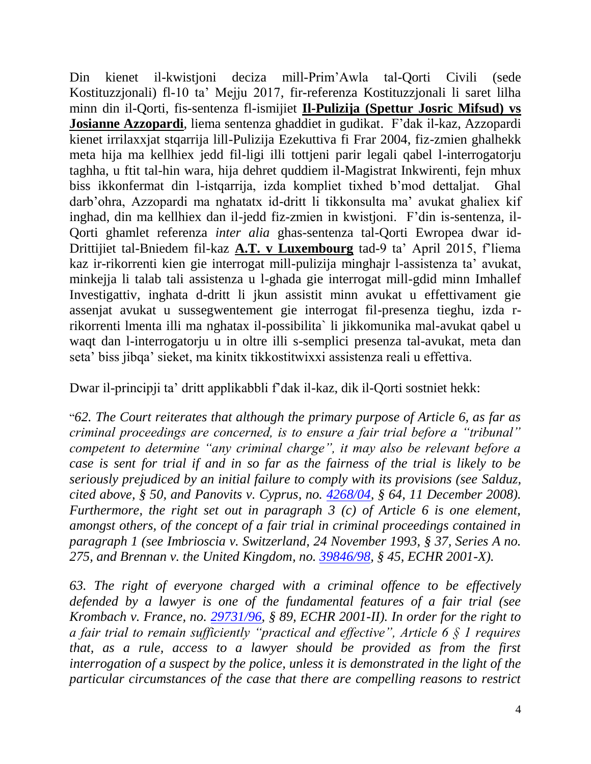Din kienet il-kwistjoni deciza mill-Prim'Awla tal-Qorti Civili (sede Kostituzzjonali) fl-10 ta' Mejju 2017, fir-referenza Kostituzzjonali li saret lilha minn din il-Qorti, fis-sentenza fl-ismijiet **Il-Pulizija (Spettur Josric Mifsud) vs Josianne Azzopardi**, liema sentenza ghaddiet in gudikat. F'dak il-kaz, Azzopardi kienet irrilaxxjat stqarrija lill-Pulizija Ezekuttiva fi Frar 2004, fiz-zmien ghalhekk meta hija ma kellhiex jedd fil-ligi illi tottjeni parir legali qabel l-interrogatorju taghha, u ftit tal-hin wara, hija dehret quddiem il-Magistrat Inkwirenti, fejn mhux biss ikkonfermat din l-istqarrija, izda kompliet tixhed b'mod dettaljat. Ghal darb'ohra, Azzopardi ma nghatatx id-dritt li tikkonsulta ma' avukat ghaliex kif inghad, din ma kellhiex dan il-jedd fiz-zmien in kwistjoni. F'din is-sentenza, il-Qorti ghamlet referenza *inter alia* ghas-sentenza tal-Qorti Ewropea dwar id-Drittijiet tal-Bniedem fil-kaz **A.T. v Luxembourg** tad-9 ta' April 2015, f'liema kaz ir-rikorrenti kien gie interrogat mill-pulizija minghajr l-assistenza ta' avukat, minkejja li talab tali assistenza u l-ghada gie interrogat mill-gdid minn Imhallef Investigattiv, inghata d-dritt li jkun assistit minn avukat u effettivament gie assenjat avukat u sussegwentement gie interrogat fil-presenza tieghu, izda rrikorrenti lmenta illi ma nghatax il-possibilita` li jikkomunika mal-avukat qabel u waqt dan l-interrogatorju u in oltre illi s-semplici presenza tal-avukat, meta dan seta' biss jibqa' sieket, ma kinitx tikkostitwixxi assistenza reali u effettiva.

Dwar il-principji ta' dritt applikabbli f'dak il-kaz, dik il-Qorti sostniet hekk:

"*62. The Court reiterates that although the primary purpose of Article 6, as far as criminal proceedings are concerned, is to ensure a fair trial before a "tribunal" competent to determine "any criminal charge", it may also be relevant before a case is sent for trial if and in so far as the fairness of the trial is likely to be seriously prejudiced by an initial failure to comply with its provisions (see Salduz, cited above, § 50, and Panovits v. Cyprus, no. [4268/04,](https://hudoc.echr.coe.int/eng#{"appno":["4268/04"]}) § 64, 11 December 2008). Furthermore, the right set out in paragraph 3 (c) of Article 6 is one element, amongst others, of the concept of a fair trial in criminal proceedings contained in paragraph 1 (see Imbrioscia v. Switzerland, 24 November 1993, § 37, Series A no. 275, and Brennan v. the United Kingdom, no. [39846/98,](https://hudoc.echr.coe.int/eng#{"appno":["39846/98"]}) § 45, ECHR 2001-X).*

*63. The right of everyone charged with a criminal offence to be effectively defended by a lawyer is one of the fundamental features of a fair trial (see Krombach v. France, no. [29731/96,](https://hudoc.echr.coe.int/eng#{"appno":["29731/96"]}) § 89, ECHR 2001-II). In order for the right to a fair trial to remain sufficiently "practical and effective", Article 6 § 1 requires that, as a rule, access to a lawyer should be provided as from the first interrogation of a suspect by the police, unless it is demonstrated in the light of the particular circumstances of the case that there are compelling reasons to restrict*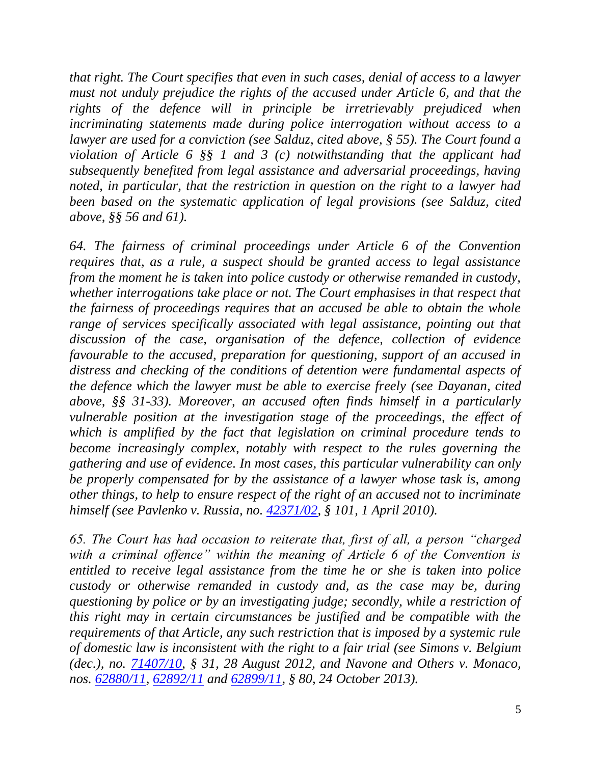*that right. The Court specifies that even in such cases, denial of access to a lawyer must not unduly prejudice the rights of the accused under Article 6, and that the rights of the defence will in principle be irretrievably prejudiced when incriminating statements made during police interrogation without access to a lawyer are used for a conviction (see Salduz, cited above, § 55). The Court found a violation of Article 6 §§ 1 and 3 (c) notwithstanding that the applicant had subsequently benefited from legal assistance and adversarial proceedings, having noted, in particular, that the restriction in question on the right to a lawyer had been based on the systematic application of legal provisions (see Salduz, cited above, §§ 56 and 61).*

*64. The fairness of criminal proceedings under Article 6 of the Convention requires that, as a rule, a suspect should be granted access to legal assistance from the moment he is taken into police custody or otherwise remanded in custody, whether interrogations take place or not. The Court emphasises in that respect that the fairness of proceedings requires that an accused be able to obtain the whole range of services specifically associated with legal assistance, pointing out that discussion of the case, organisation of the defence, collection of evidence favourable to the accused, preparation for questioning, support of an accused in distress and checking of the conditions of detention were fundamental aspects of the defence which the lawyer must be able to exercise freely (see Dayanan, cited above, §§ 31-33). Moreover, an accused often finds himself in a particularly vulnerable position at the investigation stage of the proceedings, the effect of which is amplified by the fact that legislation on criminal procedure tends to become increasingly complex, notably with respect to the rules governing the gathering and use of evidence. In most cases, this particular vulnerability can only be properly compensated for by the assistance of a lawyer whose task is, among other things, to help to ensure respect of the right of an accused not to incriminate himself (see Pavlenko v. Russia, no. [42371/02,](https://hudoc.echr.coe.int/eng#{"appno":["42371/02"]}) § 101, 1 April 2010).*

*65. The Court has had occasion to reiterate that, first of all, a person "charged with a criminal offence" within the meaning of Article 6 of the Convention is entitled to receive legal assistance from the time he or she is taken into police custody or otherwise remanded in custody and, as the case may be, during questioning by police or by an investigating judge; secondly, while a restriction of this right may in certain circumstances be justified and be compatible with the requirements of that Article, any such restriction that is imposed by a systemic rule of domestic law is inconsistent with the right to a fair trial (see Simons v. Belgium (dec.), no. [71407/10,](https://hudoc.echr.coe.int/eng#{"appno":["71407/10"]}) § 31, 28 August 2012, and Navone and Others v. Monaco, nos. [62880/11,](https://hudoc.echr.coe.int/eng#{"appno":["62880/11"]}) [62892/11](https://hudoc.echr.coe.int/eng#{"appno":["62892/11"]}) and [62899/11,](https://hudoc.echr.coe.int/eng#{"appno":["62899/11"]}) § 80, 24 October 2013).*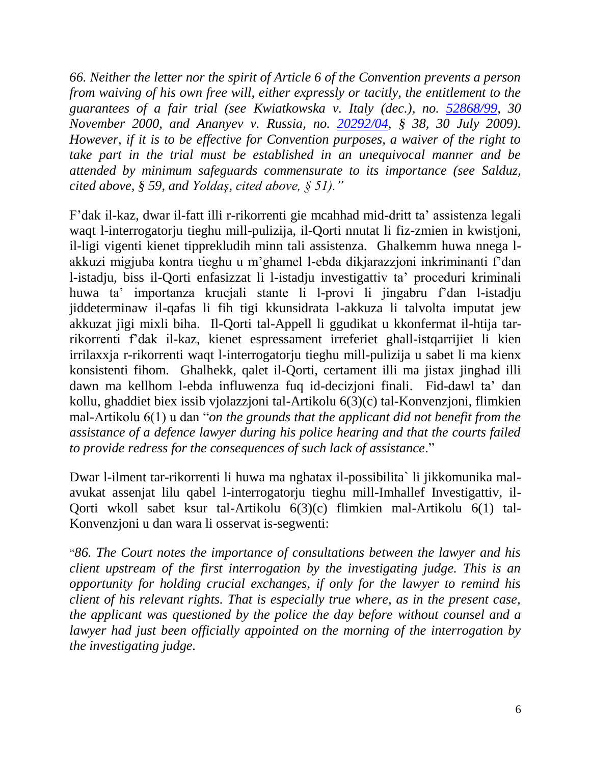*66. Neither the letter nor the spirit of Article 6 of the Convention prevents a person from waiving of his own free will, either expressly or tacitly, the entitlement to the*  guarantees of a fair trial (see Kwiatkowska v. Italy (dec.), no. [52868/99,](https://hudoc.echr.coe.int/eng#{"appno":["52868/99"]}) 30 *November 2000, and Ananyev v. Russia, no. [20292/04,](https://hudoc.echr.coe.int/eng#{"appno":["20292/04"]}) § 38, 30 July 2009). However, if it is to be effective for Convention purposes, a waiver of the right to take part in the trial must be established in an unequivocal manner and be attended by minimum safeguards commensurate to its importance (see Salduz, cited above, § 59, and Yoldaş, cited above, § 51)."*

F'dak il-kaz, dwar il-fatt illi r-rikorrenti gie mcahhad mid-dritt ta' assistenza legali waqt l-interrogatorju tieghu mill-pulizija, il-Qorti nnutat li fiz-zmien in kwistjoni, il-ligi vigenti kienet tipprekludih minn tali assistenza. Ghalkemm huwa nnega lakkuzi migjuba kontra tieghu u m'ghamel l-ebda dikjarazzjoni inkriminanti f'dan l-istadju, biss il-Qorti enfasizzat li l-istadju investigattiv ta' proceduri kriminali huwa ta' importanza krucjali stante li l-provi li jingabru f'dan l-istadju jiddeterminaw il-qafas li fih tigi kkunsidrata l-akkuza li talvolta imputat jew akkuzat jigi mixli biha. Il-Qorti tal-Appell li ggudikat u kkonfermat il-htija tarrikorrenti f'dak il-kaz, kienet espressament irreferiet ghall-istqarrijiet li kien irrilaxxja r-rikorrenti waqt l-interrogatorju tieghu mill-pulizija u sabet li ma kienx konsistenti fihom. Ghalhekk, qalet il-Qorti, certament illi ma jistax jinghad illi dawn ma kellhom l-ebda influwenza fuq id-decizjoni finali. Fid-dawl ta' dan kollu, ghaddiet biex issib vjolazzjoni tal-Artikolu 6(3)(c) tal-Konvenzjoni, flimkien mal-Artikolu 6(1) u dan "*on the grounds that the applicant did not benefit from the assistance of a defence lawyer during his police hearing and that the courts failed to provide redress for the consequences of such lack of assistance*."

Dwar l-ilment tar-rikorrenti li huwa ma nghatax il-possibilita` li jikkomunika malavukat assenjat lilu qabel l-interrogatorju tieghu mill-Imhallef Investigattiv, il-Qorti wkoll sabet ksur tal-Artikolu 6(3)(c) flimkien mal-Artikolu 6(1) tal-Konvenzjoni u dan wara li osservat is-segwenti:

"*86. The Court notes the importance of consultations between the lawyer and his client upstream of the first interrogation by the investigating judge. This is an opportunity for holding crucial exchanges, if only for the lawyer to remind his client of his relevant rights. That is especially true where, as in the present case, the applicant was questioned by the police the day before without counsel and a lawyer had just been officially appointed on the morning of the interrogation by the investigating judge.*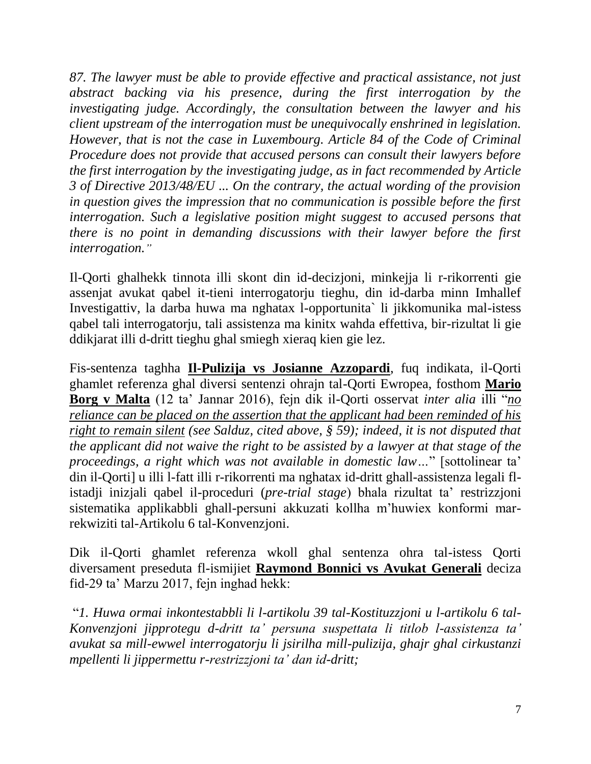*87. The lawyer must be able to provide effective and practical assistance, not just abstract backing via his presence, during the first interrogation by the investigating judge. Accordingly, the consultation between the lawyer and his client upstream of the interrogation must be unequivocally enshrined in legislation. However, that is not the case in Luxembourg. Article 84 of the Code of Criminal Procedure does not provide that accused persons can consult their lawyers before the first interrogation by the investigating judge, as in fact recommended by Article 3 of Directive 2013/48/EU ... On the contrary, the actual wording of the provision in question gives the impression that no communication is possible before the first interrogation. Such a legislative position might suggest to accused persons that there is no point in demanding discussions with their lawyer before the first interrogation."*

Il-Qorti ghalhekk tinnota illi skont din id-decizjoni, minkejja li r-rikorrenti gie assenjat avukat qabel it-tieni interrogatorju tieghu, din id-darba minn Imhallef Investigattiv, la darba huwa ma nghatax l-opportunita` li jikkomunika mal-istess qabel tali interrogatorju, tali assistenza ma kinitx wahda effettiva, bir-rizultat li gie ddikjarat illi d-dritt tieghu ghal smiegh xieraq kien gie lez.

Fis-sentenza taghha **Il-Pulizija vs Josianne Azzopardi**, fuq indikata, il-Qorti ghamlet referenza ghal diversi sentenzi ohrajn tal-Qorti Ewropea, fosthom **Mario Borg v Malta** (12 ta' Jannar 2016), fejn dik il-Qorti osservat *inter alia* illi "*no reliance can be placed on the assertion that the applicant had been reminded of his right to remain silent (see Salduz, cited above, § 59); indeed, it is not disputed that the applicant did not waive the right to be assisted by a lawyer at that stage of the proceedings, a right which was not available in domestic law…*" [sottolinear ta' din il-Qorti] u illi l-fatt illi r-rikorrenti ma nghatax id-dritt ghall-assistenza legali flistadji inizjali qabel il-proceduri (*pre-trial stage*) bhala rizultat ta' restrizzjoni sistematika applikabbli ghall-persuni akkuzati kollha m'huwiex konformi marrekwiziti tal-Artikolu 6 tal-Konvenzjoni.

Dik il-Qorti ghamlet referenza wkoll ghal sentenza ohra tal-istess Qorti diversament preseduta fl-ismijiet **Raymond Bonnici vs Avukat Generali** deciza fid-29 ta' Marzu 2017, fejn inghad hekk:

"*1. Huwa ormai inkontestabbli li l-artikolu 39 tal-Kostituzzjoni u l-artikolu 6 tal-Konvenzjoni jipprotegu d-dritt ta' persuna suspettata li titlob l-assistenza ta' avukat sa mill-ewwel interrogatorju li jsirilha mill-pulizija, ghajr ghal cirkustanzi mpellenti li jippermettu r-restrizzjoni ta' dan id-dritt;*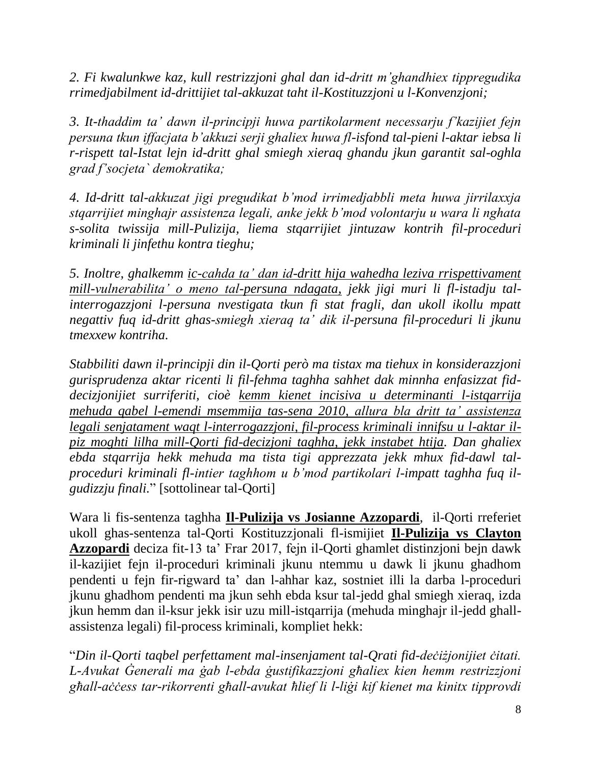*2. Fi kwalunkwe kaz, kull restrizzjoni ghal dan id-dritt m'ghandhiex tippregudika rrimedjabilment id-drittijiet tal-akkuzat taht il-Kostituzzjoni u l-Konvenzjoni;* 

*3. It-thaddim ta' dawn il-principji huwa partikolarment necessarju f'kazijiet fejn persuna tkun iffacjata b'akkuzi serji ghaliex huwa fl-isfond tal-pieni l-aktar iebsa li r-rispett tal-Istat lejn id-dritt ghal smiegh xieraq ghandu jkun garantit sal-oghla grad f'socjeta` demokratika;* 

*4. Id-dritt tal-akkuzat jigi pregudikat b'mod irrimedjabbli meta huwa jirrilaxxja stqarrijiet minghajr assistenza legali, anke jekk b'mod volontarju u wara li nghata s-solita twissija mill-Pulizija, liema stqarrijiet jintuzaw kontrih fil-proceduri kriminali li jinfethu kontra tieghu;* 

*5. Inoltre, ghalkemm ic-cahda ta' dan id-dritt hija wahedha leziva rrispettivament mill-vulnerabilita' o meno tal-persuna ndagata, jekk jigi muri li fl-istadju talinterrogazzjoni l-persuna nvestigata tkun fi stat fragli, dan ukoll ikollu mpatt negattiv fuq id-dritt ghas-smiegh xieraq ta' dik il-persuna fil-proceduri li jkunu tmexxew kontriha.* 

*Stabbiliti dawn il-principji din il-Qorti però ma tistax ma tiehux in konsiderazzjoni gurisprudenza aktar ricenti li fil-fehma taghha sahhet dak minnha enfasizzat fiddecizjonijiet surriferiti, cioè kemm kienet incisiva u determinanti l-istqarrija mehuda qabel l-emendi msemmija tas-sena 2010, allura bla dritt ta' assistenza legali senjatament waqt l-interrogazzjoni, fil-process kriminali innifsu u l-aktar ilpiz moghti lilha mill-Qorti fid-decizjoni taghha, jekk instabet htija. Dan ghaliex ebda stqarrija hekk mehuda ma tista tigi apprezzata jekk mhux fid-dawl talproceduri kriminali fl-intier taghhom u b'mod partikolari l-impatt taghha fuq ilgudizzju finali.*" [sottolinear tal-Qorti]

Wara li fis-sentenza taghha **Il-Pulizija vs Josianne Azzopardi**, il-Qorti rreferiet ukoll ghas-sentenza tal-Qorti Kostituzzjonali fl-ismijiet **Il-Pulizija vs Clayton Azzopardi** deciza fit-13 ta' Frar 2017, fejn il-Qorti ghamlet distinzjoni bejn dawk il-kazijiet fejn il-proceduri kriminali jkunu ntemmu u dawk li jkunu ghadhom pendenti u fejn fir-rigward ta' dan l-ahhar kaz, sostniet illi la darba l-proceduri jkunu ghadhom pendenti ma jkun sehh ebda ksur tal-jedd ghal smiegh xieraq, izda jkun hemm dan il-ksur jekk isir uzu mill-istqarrija (mehuda minghajr il-jedd ghallassistenza legali) fil-process kriminali, kompliet hekk:

"*Din il-Qorti taqbel perfettament mal-insenjament tal-Qrati fid-deċiżjonijiet ċitati. L-Avukat Ġenerali ma ġab l-ebda ġustifikazzjoni għaliex kien hemm restrizzjoni għall-aċċess tar-rikorrenti għall-avukat ħlief li l-liġi kif kienet ma kinitx tipprovdi*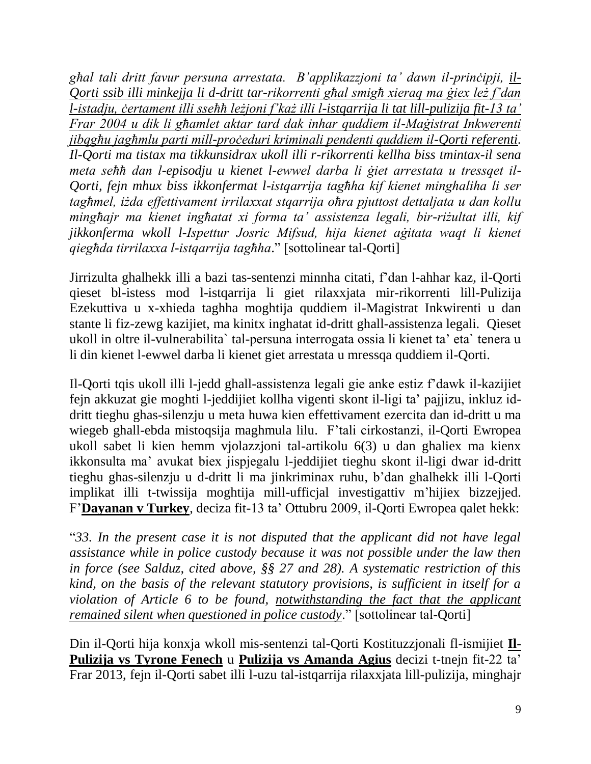*għal tali dritt favur persuna arrestata. B'applikazzjoni ta' dawn il-prinċipji, il-Qorti ssib illi minkejja li d-dritt tar-rikorrenti għal smigħ xieraq ma ġiex leż f'dan l-istadju, ċertament illi sseħħ leżjoni f'każ illi l-istqarrija li tat lill-pulizija fit-13 ta' Frar 2004 u dik li għamlet aktar tard dak inhar quddiem il-Maġistrat Inkwerenti jibqgħu jagħmlu parti mill-proċeduri kriminali pendenti quddiem il-Qorti referenti. Il-Qorti ma tistax ma tikkunsidrax ukoll illi r-rikorrenti kellha biss tmintax-il sena meta seħħ dan l-episodju u kienet l-ewwel darba li ġiet arrestata u tressqet il-Qorti, fejn mhux biss ikkonfermat l-istqarrija tagħha kif kienet minghaliha li ser tagħmel, iżda effettivament irrilaxxat stqarrija oħra pjuttost dettaljata u dan kollu mingħajr ma kienet ingħatat xi forma ta' assistenza legali, bir-riżultat illi, kif jikkonferma wkoll l-Ispettur Josric Mifsud, hija kienet aġitata waqt li kienet qiegħda tirrilaxxa l-istqarrija tagħha*." [sottolinear tal-Qorti]

Jirrizulta ghalhekk illi a bazi tas-sentenzi minnha citati, f'dan l-ahhar kaz, il-Qorti qieset bl-istess mod l-istqarrija li giet rilaxxjata mir-rikorrenti lill-Pulizija Ezekuttiva u x-xhieda taghha moghtija quddiem il-Magistrat Inkwirenti u dan stante li fiz-zewg kazijiet, ma kinitx inghatat id-dritt ghall-assistenza legali. Qieset ukoll in oltre il-vulnerabilita` tal-persuna interrogata ossia li kienet ta' eta` tenera u li din kienet l-ewwel darba li kienet giet arrestata u mressqa quddiem il-Qorti.

Il-Qorti tqis ukoll illi l-jedd ghall-assistenza legali gie anke estiz f'dawk il-kazijiet fejn akkuzat gie moghti l-jeddijiet kollha vigenti skont il-ligi ta' pajjizu, inkluz iddritt tieghu ghas-silenzju u meta huwa kien effettivament ezercita dan id-dritt u ma wiegeb ghall-ebda mistoqsija maghmula lilu. F'tali cirkostanzi, il-Qorti Ewropea ukoll sabet li kien hemm vjolazzjoni tal-artikolu 6(3) u dan ghaliex ma kienx ikkonsulta ma' avukat biex jispjegalu l-jeddijiet tieghu skont il-ligi dwar id-dritt tieghu ghas-silenzju u d-dritt li ma jinkriminax ruhu, b'dan ghalhekk illi l-Qorti implikat illi t-twissija moghtija mill-ufficjal investigattiv m'hijiex bizzejjed. F'**Dayanan v Turkey**, deciza fit-13 ta' Ottubru 2009, il-Qorti Ewropea qalet hekk:

"*33. In the present case it is not disputed that the applicant did not have legal assistance while in police custody because it was not possible under the law then in force (see Salduz, cited above, §§ 27 and 28). A systematic restriction of this kind, on the basis of the relevant statutory provisions, is sufficient in itself for a violation of Article 6 to be found, notwithstanding the fact that the applicant remained silent when questioned in police custody*." [sottolinear tal-Qorti]

Din il-Qorti hija konxja wkoll mis-sentenzi tal-Qorti Kostituzzjonali fl-ismijiet **Il-Pulizija vs Tyrone Fenech** u **Pulizija vs Amanda Agius** decizi t-tnejn fit-22 ta' Frar 2013, fejn il-Qorti sabet illi l-uzu tal-istqarrija rilaxxjata lill-pulizija, minghajr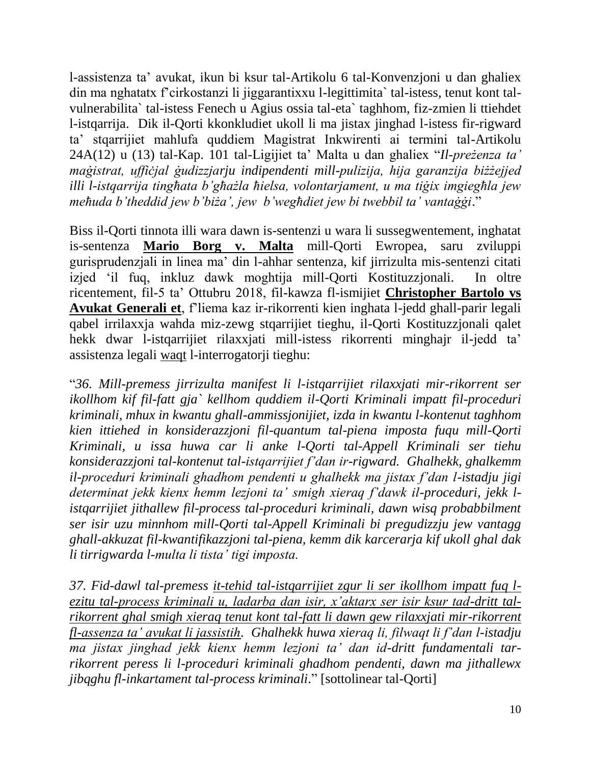l-assistenza ta' avukat, ikun bi ksur tal-Artikolu 6 tal-Konvenzjoni u dan ghaliex din ma nghatatx f'cirkostanzi li jiggarantixxu l-legittimita` tal-istess, tenut kont talvulnerabilita` tal-istess Fenech u Agius ossia tal-eta` taghhom, fiz-zmien li ttiehdet l-istqarrija. Dik il-Qorti kkonkludiet ukoll li ma jistax jinghad l-istess fir-rigward ta' stqarrijiet mahlufa quddiem Magistrat Inkwirenti ai termini tal-Artikolu 24A(12) u (13) tal-Kap. 101 tal-Ligijiet ta' Malta u dan ghaliex "*Il-preżenza ta' maġistrat, uffiċjal ġudizzjarju indipendenti mill-pulizija, hija garanzija biżżejjed illi l-istqarrija tingħata b'għażla ħielsa, volontarjament, u ma tiġix imgiegħla jew meħuda b'theddid jew b'biża', jew b'wegħdiet jew bi twebbil ta' vantaġġi*."

Biss il-Qorti tinnota illi wara dawn is-sentenzi u wara li sussegwentement, inghatat is-sentenza **Mario Borg v. Malta** mill-Qorti Ewropea, saru zviluppi gurisprudenzjali in linea ma' din l-ahhar sentenza, kif jirrizulta mis-sentenzi citati izjed 'il fuq, inkluz dawk moghtija mill-Qorti Kostituzzjonali. In oltre ricentement, fil-5 ta' Ottubru 2018, fil-kawza fl-ismijiet **Christopher Bartolo vs Avukat Generali et**, f'liema kaz ir-rikorrenti kien inghata l-jedd ghall-parir legali qabel irrilaxxja wahda miz-zewg stqarrijiet tieghu, il-Qorti Kostituzzjonali qalet hekk dwar l-istqarrijiet rilaxxjati mill-istess rikorrenti minghajr il-jedd ta' assistenza legali waqt l-interrogatorji tieghu:

"*36. Mill-premess jirrizulta manifest li l-istqarrijiet rilaxxjati mir-rikorrent ser ikollhom kif fil-fatt gja` kellhom quddiem il-Qorti Kriminali impatt fil-proceduri kriminali, mhux in kwantu ghall-ammissjonijiet, izda in kwantu l-kontenut taghhom kien ittiehed in konsiderazzjoni fil-quantum tal-piena imposta fuqu mill-Qorti Kriminali, u issa huwa car li anke l-Qorti tal-Appell Kriminali ser tiehu konsiderazzjoni tal-kontenut tal-istqarrijiet f'dan ir-rigward. Ghalhekk, ghalkemm il-proceduri kriminali ghadhom pendenti u ghalhekk ma jistax f'dan l-istadju jigi determinat jekk kienx hemm lezjoni ta' smigh xieraq f'dawk il-proceduri, jekk listqarrijiet jithallew fil-process tal-proceduri kriminali, dawn wisq probabbilment ser isir uzu minnhom mill-Qorti tal-Appell Kriminali bi pregudizzju jew vantagg ghall-akkuzat fil-kwantifikazzjoni tal-piena, kemm dik karcerarja kif ukoll ghal dak li tirrigwarda l-multa li tista' tigi imposta.* 

*37. Fid-dawl tal-premess it-tehid tal-istqarrijiet zgur li ser ikollhom impatt fuq lezitu tal-process kriminali u, ladarba dan isir, x'aktarx ser isir ksur tad-dritt talrikorrent ghal smigh xieraq tenut kont tal-fatt li dawn gew rilaxxjati mir-rikorrent fl-assenza ta' avukat li jassistih. Ghalhekk huwa xieraq li, filwaqt li f'dan l-istadju ma jistax jinghad jekk kienx hemm lezjoni ta' dan id-dritt fundamentali tarrikorrent peress li l-proceduri kriminali ghadhom pendenti, dawn ma jithallewx jibqghu fl-inkartament tal-process kriminali*." [sottolinear tal-Qorti]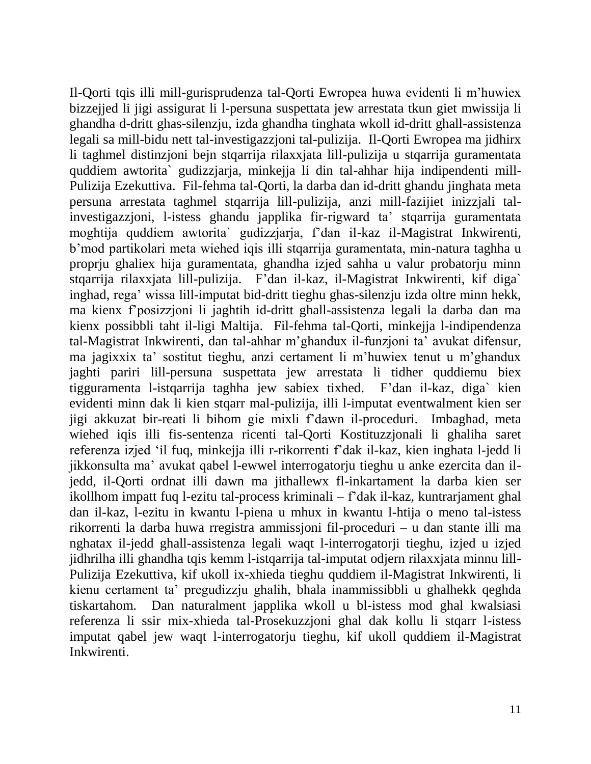Il-Qorti tqis illi mill-gurisprudenza tal-Qorti Ewropea huwa evidenti li m'huwiex bizzejjed li jigi assigurat li l-persuna suspettata jew arrestata tkun giet mwissija li ghandha d-dritt ghas-silenzju, izda ghandha tinghata wkoll id-dritt ghall-assistenza legali sa mill-bidu nett tal-investigazzjoni tal-pulizija. Il-Qorti Ewropea ma jidhirx li taghmel distinzjoni bejn stqarrija rilaxxjata lill-pulizija u stqarrija guramentata quddiem awtorita` gudizzjarja, minkejja li din tal-ahhar hija indipendenti mill-Pulizija Ezekuttiva. Fil-fehma tal-Qorti, la darba dan id-dritt ghandu jinghata meta persuna arrestata taghmel stqarrija lill-pulizija, anzi mill-fazijiet inizzjali talinvestigazzjoni, l-istess ghandu japplika fir-rigward ta' stqarrija guramentata moghtija quddiem awtorita` gudizzjarja, f'dan il-kaz il-Magistrat Inkwirenti, b'mod partikolari meta wiehed iqis illi stqarrija guramentata, min-natura taghha u proprju ghaliex hija guramentata, ghandha izjed sahha u valur probatorju minn stqarrija rilaxxjata lill-pulizija. F'dan il-kaz, il-Magistrat Inkwirenti, kif diga` inghad, rega' wissa lill-imputat bid-dritt tieghu ghas-silenzju izda oltre minn hekk, ma kienx f'posizzjoni li jaghtih id-dritt ghall-assistenza legali la darba dan ma kienx possibbli taht il-ligi Maltija. Fil-fehma tal-Qorti, minkejja l-indipendenza tal-Magistrat Inkwirenti, dan tal-ahhar m'ghandux il-funzjoni ta' avukat difensur, ma jagixxix ta' sostitut tieghu, anzi certament li m'huwiex tenut u m'ghandux jaghti pariri lill-persuna suspettata jew arrestata li tidher quddiemu biex tigguramenta l-istqarrija taghha jew sabiex tixhed. F'dan il-kaz, diga` kien evidenti minn dak li kien stqarr mal-pulizija, illi l-imputat eventwalment kien ser jigi akkuzat bir-reati li bihom gie mixli f'dawn il-proceduri. Imbaghad, meta wiehed iqis illi fis-sentenza ricenti tal-Qorti Kostituzzjonali li ghaliha saret referenza izjed 'il fuq, minkejja illi r-rikorrenti f'dak il-kaz, kien inghata l-jedd li jikkonsulta ma' avukat qabel l-ewwel interrogatorju tieghu u anke ezercita dan iljedd, il-Qorti ordnat illi dawn ma jithallewx fl-inkartament la darba kien ser ikollhom impatt fuq l-ezitu tal-process kriminali – f'dak il-kaz, kuntrarjament ghal dan il-kaz, l-ezitu in kwantu l-piena u mhux in kwantu l-htija o meno tal-istess rikorrenti la darba huwa rregistra ammissjoni fil-proceduri – u dan stante illi ma nghatax il-jedd ghall-assistenza legali waqt l-interrogatorji tieghu, izjed u izjed jidhrilha illi ghandha tqis kemm l-istqarrija tal-imputat odjern rilaxxjata minnu lill-Pulizija Ezekuttiva, kif ukoll ix-xhieda tieghu quddiem il-Magistrat Inkwirenti, li kienu certament ta' pregudizzju ghalih, bhala inammissibbli u ghalhekk qeghda tiskartahom. Dan naturalment japplika wkoll u bl-istess mod ghal kwalsiasi referenza li ssir mix-xhieda tal-Prosekuzzjoni ghal dak kollu li stqarr l-istess imputat qabel jew waqt l-interrogatorju tieghu, kif ukoll quddiem il-Magistrat Inkwirenti.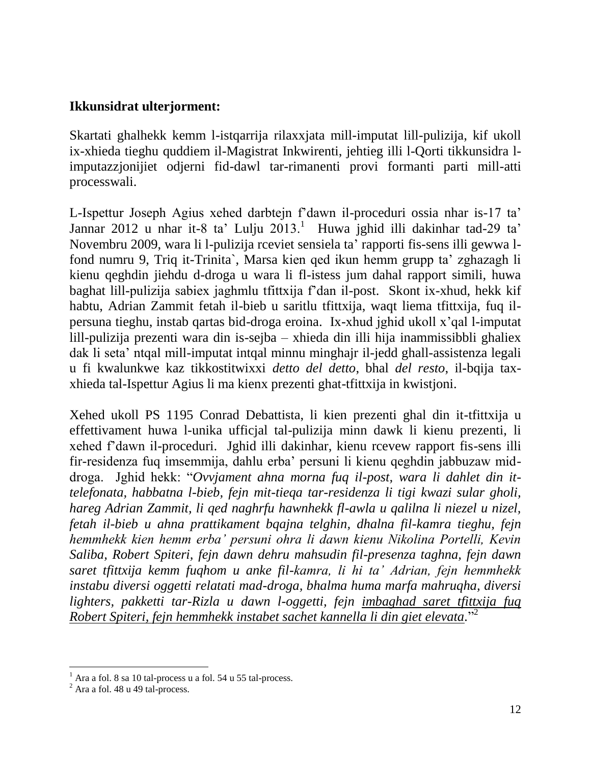#### **Ikkunsidrat ulterjorment:**

Skartati ghalhekk kemm l-istqarrija rilaxxjata mill-imputat lill-pulizija, kif ukoll ix-xhieda tieghu quddiem il-Magistrat Inkwirenti, jehtieg illi l-Qorti tikkunsidra limputazzjonijiet odjerni fid-dawl tar-rimanenti provi formanti parti mill-atti processwali.

L-Ispettur Joseph Agius xehed darbtejn f'dawn il-proceduri ossia nhar is-17 ta' Jannar 2012 u nhar it-8 ta' Lulju 2013.<sup>1</sup> Huwa jghid illi dakinhar tad-29 ta' Novembru 2009, wara li l-pulizija rceviet sensiela ta' rapporti fis-sens illi gewwa lfond numru 9, Triq it-Trinita`, Marsa kien qed ikun hemm grupp ta' zghazagh li kienu qeghdin jiehdu d-droga u wara li fl-istess jum dahal rapport simili, huwa baghat lill-pulizija sabiex jaghmlu tfittxija f'dan il-post. Skont ix-xhud, hekk kif habtu, Adrian Zammit fetah il-bieb u saritlu tfittxija, waqt liema tfittxija, fuq ilpersuna tieghu, instab qartas bid-droga eroina. Ix-xhud jghid ukoll x'qal l-imputat lill-pulizija prezenti wara din is-sejba – xhieda din illi hija inammissibbli ghaliex dak li seta' ntqal mill-imputat intqal minnu minghajr il-jedd ghall-assistenza legali u fi kwalunkwe kaz tikkostitwixxi *detto del detto*, bhal *del resto*, il-bqija taxxhieda tal-Ispettur Agius li ma kienx prezenti ghat-tfittxija in kwistjoni.

Xehed ukoll PS 1195 Conrad Debattista, li kien prezenti ghal din it-tfittxija u effettivament huwa l-unika ufficjal tal-pulizija minn dawk li kienu prezenti, li xehed f'dawn il-proceduri. Jghid illi dakinhar, kienu rcevew rapport fis-sens illi fir-residenza fuq imsemmija, dahlu erba' persuni li kienu qeghdin jabbuzaw middroga. Jghid hekk: "*Ovvjament ahna morna fuq il-post, wara li dahlet din ittelefonata, habbatna l-bieb, fejn mit-tieqa tar-residenza li tigi kwazi sular gholi, hareg Adrian Zammit, li qed naghrfu hawnhekk fl-awla u qalilna li niezel u nizel, fetah il-bieb u ahna prattikament bqajna telghin, dhalna fil-kamra tieghu, fejn hemmhekk kien hemm erba' persuni ohra li dawn kienu Nikolina Portelli, Kevin Saliba, Robert Spiteri, fejn dawn dehru mahsudin fil-presenza taghna, fejn dawn saret tfittxija kemm fuqhom u anke fil-kamra, li hi ta' Adrian, fejn hemmhekk instabu diversi oggetti relatati mad-droga, bhalma huma marfa mahruqha, diversi lighters, pakketti tar-Rizla u dawn l-oggetti, fejn imbaghad saret tfittxija fuq Robert Spiteri, fejn hemmhekk instabet sachet kannella li din giet elevata.*" 2

 $\overline{a}$ 

 $<sup>1</sup>$  Ara a fol. 8 sa 10 tal-process u a fol. 54 u 55 tal-process.</sup>

 $<sup>2</sup>$  Ara a fol. 48 u 49 tal-process.</sup>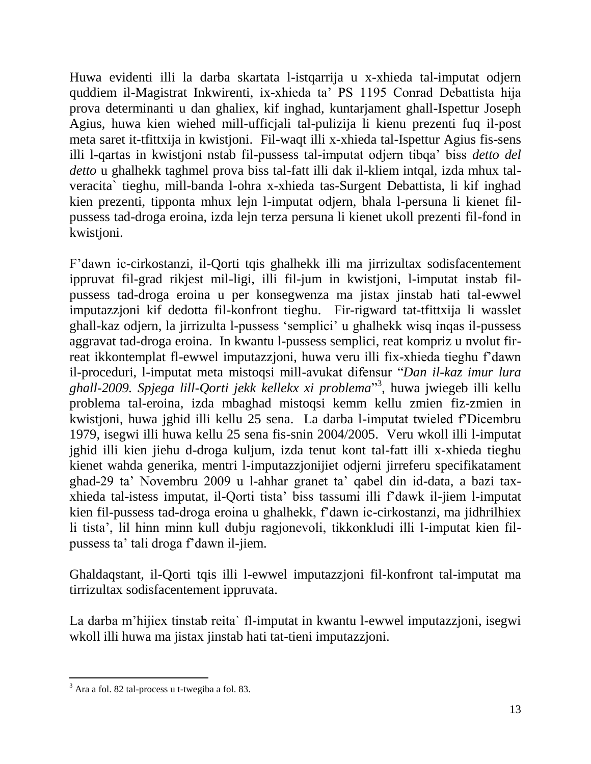Huwa evidenti illi la darba skartata l-istqarrija u x-xhieda tal-imputat odjern quddiem il-Magistrat Inkwirenti, ix-xhieda ta' PS 1195 Conrad Debattista hija prova determinanti u dan ghaliex, kif inghad, kuntarjament ghall-Ispettur Joseph Agius, huwa kien wiehed mill-ufficjali tal-pulizija li kienu prezenti fuq il-post meta saret it-tfittxija in kwistjoni. Fil-waqt illi x-xhieda tal-Ispettur Agius fis-sens illi l-qartas in kwistjoni nstab fil-pussess tal-imputat odjern tibqa' biss *detto del detto* u ghalhekk taghmel prova biss tal-fatt illi dak il-kliem intqal, izda mhux talveracita` tieghu, mill-banda l-ohra x-xhieda tas-Surgent Debattista, li kif inghad kien prezenti, tipponta mhux lejn l-imputat odjern, bhala l-persuna li kienet filpussess tad-droga eroina, izda lejn terza persuna li kienet ukoll prezenti fil-fond in kwistjoni.

F'dawn ic-cirkostanzi, il-Qorti tqis ghalhekk illi ma jirrizultax sodisfacentement ippruvat fil-grad rikjest mil-ligi, illi fil-jum in kwistjoni, l-imputat instab filpussess tad-droga eroina u per konsegwenza ma jistax jinstab hati tal-ewwel imputazzjoni kif dedotta fil-konfront tieghu. Fir-rigward tat-tfittxija li wasslet ghall-kaz odjern, la jirrizulta l-pussess 'semplici' u ghalhekk wisq inqas il-pussess aggravat tad-droga eroina. In kwantu l-pussess semplici, reat kompriz u nvolut firreat ikkontemplat fl-ewwel imputazzjoni, huwa veru illi fix-xhieda tieghu f'dawn il-proceduri, l-imputat meta mistoqsi mill-avukat difensur "*Dan il-kaz imur lura ghall-2009. Spjega lill-Qorti jekk kellekx xi problema*" 3 , huwa jwiegeb illi kellu problema tal-eroina, izda mbaghad mistoqsi kemm kellu zmien fiz-zmien in kwistjoni, huwa jghid illi kellu 25 sena. La darba l-imputat twieled f'Dicembru 1979, isegwi illi huwa kellu 25 sena fis-snin 2004/2005. Veru wkoll illi l-imputat jghid illi kien jiehu d-droga kuljum, izda tenut kont tal-fatt illi x-xhieda tieghu kienet wahda generika, mentri l-imputazzjonijiet odjerni jirreferu specifikatament ghad-29 ta' Novembru 2009 u l-ahhar granet ta' qabel din id-data, a bazi taxxhieda tal-istess imputat, il-Qorti tista' biss tassumi illi f'dawk il-jiem l-imputat kien fil-pussess tad-droga eroina u ghalhekk, f'dawn ic-cirkostanzi, ma jidhrilhiex li tista', lil hinn minn kull dubju ragjonevoli, tikkonkludi illi l-imputat kien filpussess ta' tali droga f'dawn il-jiem.

Ghaldaqstant, il-Qorti tqis illi l-ewwel imputazzjoni fil-konfront tal-imputat ma tirrizultax sodisfacentement ippruvata.

La darba m'hijiex tinstab reita` fl-imputat in kwantu l-ewwel imputazzjoni, isegwi wkoll illi huwa ma jistax jinstab hati tat-tieni imputazzjoni.

 $\overline{a}$  $3$  Ara a fol. 82 tal-process u t-twegiba a fol. 83.